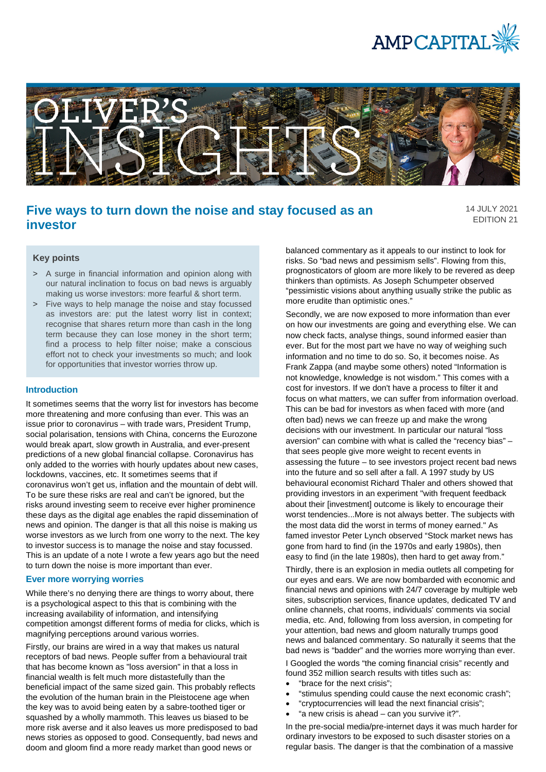



# **Five ways to turn down the noise and stay focused as an investor**

14 JULY 2021 EDITION 21

# **Key points**

- > A surge in financial information and opinion along with our natural inclination to focus on bad news is arguably making us worse investors: more fearful & short term.
- > Five ways to help manage the noise and stay focussed as investors are: put the latest worry list in context; recognise that shares return more than cash in the long term because they can lose money in the short term; find a process to help filter noise; make a conscious effort not to check your investments so much; and look for opportunities that investor worries throw up.

#### **Introduction**

It sometimes seems that the worry list for investors has become more threatening and more confusing than ever. This was an issue prior to coronavirus – with trade wars, President Trump, social polarisation, tensions with China, concerns the Eurozone would break apart, slow growth in Australia, and ever-present predictions of a new global financial collapse. Coronavirus has only added to the worries with hourly updates about new cases, lockdowns, vaccines, etc. It sometimes seems that if coronavirus won't get us, inflation and the mountain of debt will. To be sure these risks are real and can't be ignored, but the risks around investing seem to receive ever higher prominence these days as the digital age enables the rapid dissemination of news and opinion. The danger is that all this noise is making us worse investors as we lurch from one worry to the next. The key to investor success is to manage the noise and stay focussed. This is an update of a note I wrote a few years ago but the need to turn down the noise is more important than ever.

#### **Ever more worrying worries**

While there's no denying there are things to worry about, there is a psychological aspect to this that is combining with the increasing availability of information, and intensifying competition amongst different forms of media for clicks, which is magnifying perceptions around various worries.

Firstly, our brains are wired in a way that makes us natural receptors of bad news. People suffer from a behavioural trait that has become known as "loss aversion" in that a loss in financial wealth is felt much more distastefully than the beneficial impact of the same sized gain. This probably reflects the evolution of the human brain in the Pleistocene age when the key was to avoid being eaten by a sabre-toothed tiger or squashed by a wholly mammoth. This leaves us biased to be more risk averse and it also leaves us more predisposed to bad news stories as opposed to good. Consequently, bad news and doom and gloom find a more ready market than good news or

balanced commentary as it appeals to our instinct to look for risks. So "bad news and pessimism sells". Flowing from this, prognosticators of gloom are more likely to be revered as deep thinkers than optimists. As Joseph Schumpeter observed "pessimistic visions about anything usually strike the public as more erudite than optimistic ones."

Secondly, we are now exposed to more information than ever on how our investments are going and everything else. We can now check facts, analyse things, sound informed easier than ever. But for the most part we have no way of weighing such information and no time to do so. So, it becomes noise. As Frank Zappa (and maybe some others) noted "Information is not knowledge, knowledge is not wisdom." This comes with a cost for investors. If we don't have a process to filter it and focus on what matters, we can suffer from information overload. This can be bad for investors as when faced with more (and often bad) news we can freeze up and make the wrong decisions with our investment. In particular our natural "loss aversion" can combine with what is called the "recency bias" – that sees people give more weight to recent events in assessing the future – to see investors project recent bad news into the future and so sell after a fall. A 1997 study by US behavioural economist Richard Thaler and others showed that providing investors in an experiment "with frequent feedback about their [investment] outcome is likely to encourage their worst tendencies...More is not always better. The subjects with the most data did the worst in terms of money earned." As famed investor Peter Lynch observed "Stock market news has gone from hard to find (in the 1970s and early 1980s), then easy to find (in the late 1980s), then hard to get away from."

Thirdly, there is an explosion in media outlets all competing for our eyes and ears. We are now bombarded with economic and financial news and opinions with 24/7 coverage by multiple web sites, subscription services, finance updates, dedicated TV and online channels, chat rooms, individuals' comments via social media, etc. And, following from loss aversion, in competing for your attention, bad news and gloom naturally trumps good news and balanced commentary. So naturally it seems that the bad news is "badder" and the worries more worrying than ever.

I Googled the words "the coming financial crisis" recently and found 352 million search results with titles such as:

- "brace for the next crisis":
- "stimulus spending could cause the next economic crash";
- "cryptocurrencies will lead the next financial crisis";
- "a new crisis is ahead can you survive it?".

In the pre-social media/pre-internet days it was much harder for ordinary investors to be exposed to such disaster stories on a regular basis. The danger is that the combination of a massive